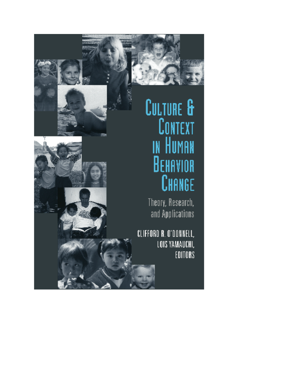

**CULTURE &** 

CHANGE

# **CONTEXT**<br>In Human BEHAVIOR Theory, Research, and Applications

CLIFFORD R. O'DONNELL, LOIS YAMAUCHI, EDITORS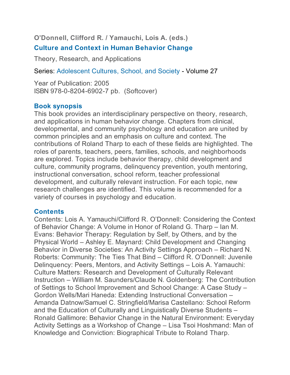**O'Donnell, Clifford R. / Yamauchi, Lois A. (eds.)**

# **Culture and Context in Human Behavior Change**

Theory, Research, and Applications

Series: Adolescent Cultures, School, and Society - Volume 27

Year of Publication: 2005 ISBN 978-0-8204-6902-7 pb. (Softcover)

# **Book synopsis**

This book provides an interdisciplinary perspective on theory, research, and applications in human behavior change. Chapters from clinical, developmental, and community psychology and education are united by common principles and an emphasis on culture and context. The contributions of Roland Tharp to each of these fields are highlighted. The roles of parents, teachers, peers, families, schools, and neighborhoods are explored. Topics include behavior therapy, child development and culture, community programs, delinquency prevention, youth mentoring, instructional conversation, school reform, teacher professional development, and culturally relevant instruction. For each topic, new research challenges are identified. This volume is recommended for a variety of courses in psychology and education.

#### **Contents**

Contents: Lois A. Yamauchi/Clifford R. O'Donnell: Considering the Context of Behavior Change: A Volume in Honor of Roland G. Tharp – Ian M. Evans: Behavior Therapy: Regulation by Self, by Others, and by the Physical World – Ashley E. Maynard: Child Development and Changing Behavior in Diverse Societies: An Activity Settings Approach – Richard N. Roberts: Community: The Ties That Bind – Clifford R. O'Donnell: Juvenile Delinquency: Peers, Mentors, and Activity Settings – Lois A. Yamauchi: Culture Matters: Research and Development of Culturally Relevant Instruction – William M. Saunders/Claude N. Goldenberg: The Contribution of Settings to School Improvement and School Change: A Case Study – Gordon Wells/Mari Haneda: Extending Instructional Conversation – Amanda Datnow/Samuel C. Stringfield/Marisa Castellano: School Reform and the Education of Culturally and Linguistically Diverse Students – Ronald Gallimore: Behavior Change in the Natural Environment: Everyday Activity Settings as a Workshop of Change – Lisa Tsoi Hoshmand: Man of Knowledge and Conviction: Biographical Tribute to Roland Tharp.